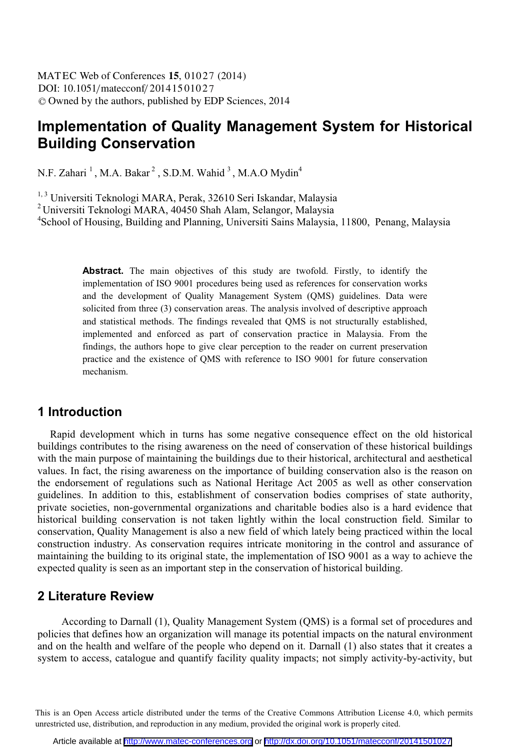DOI: 10.1051/matecconf/20141501027 -<sup>C</sup> Owned by the authors, published by EDP Sciences, 2014 MATEC Web of Conferences 15, 01027 (2014)

# **Implementation of Quality Management System for Historical Building Conservation**

N.F. Zahari  $<sup>1</sup>$ , M.A. Bakar<sup>2</sup>, S.D.M. Wahid  $<sup>3</sup>$ , M.A.O Mydin<sup>4</sup></sup></sup>

<sup>1, 3</sup> Universiti Teknologi MARA, Perak, 32610 Seri Iskandar, Malaysia <sup>2</sup> Universiti Teknologi MARA, 40450 Shah Alam, Selangor, Malaysia

<sup>4</sup>School of Housing, Building and Planning, Universiti Sains Malaysia, 11800, Penang, Malaysia

**Abstract.** The main objectives of this study are twofold. Firstly, to identify the implementation of ISO 9001 procedures being used as references for conservation works and the development of Quality Management System (QMS) guidelines. Data were solicited from three (3) conservation areas. The analysis involved of descriptive approach and statistical methods. The findings revealed that QMS is not structurally established, implemented and enforced as part of conservation practice in Malaysia. From the findings, the authors hope to give clear perception to the reader on current preservation practice and the existence of QMS with reference to ISO 9001 for future conservation mechanism.

### **1 Introduction**

Rapid development which in turns has some negative consequence effect on the old historical buildings contributes to the rising awareness on the need of conservation of these historical buildings with the main purpose of maintaining the buildings due to their historical, architectural and aesthetical values. In fact, the rising awareness on the importance of building conservation also is the reason on the endorsement of regulations such as National Heritage Act 2005 as well as other conservation guidelines. In addition to this, establishment of conservation bodies comprises of state authority, private societies, non-governmental organizations and charitable bodies also is a hard evidence that historical building conservation is not taken lightly within the local construction field. Similar to conservation, Quality Management is also a new field of which lately being practiced within the local construction industry. As conservation requires intricate monitoring in the control and assurance of maintaining the building to its original state, the implementation of ISO 9001 as a way to achieve the expected quality is seen as an important step in the conservation of historical building.

### **2 Literature Review**

According to Darnall (1), Quality Management System (QMS) is a formal set of procedures and policies that defines how an organization will manage its potential impacts on the natural environment and on the health and welfare of the people who depend on it. Darnall (1) also states that it creates a system to access, catalogue and quantify facility quality impacts; not simply activity-by-activity, but

This is an Open Access article distributed under the terms of the Creative Commons Attribution License 4.0, which permits unrestricted use, distribution, and reproduction in any medium, provided the original work is properly cited.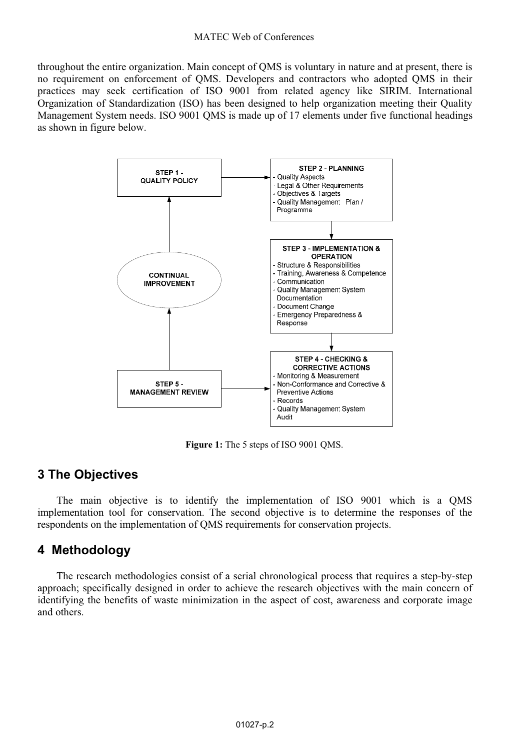#### MATEC Web of Conferences

throughout the entire organization. Main concept of QMS is voluntary in nature and at present, there is no requirement on enforcement of QMS. Developers and contractors who adopted QMS in their practices may seek certification of ISO 9001 from related agency like SIRIM. International Organization of Standardization (ISO) has been designed to help organization meeting their Quality Management System needs. ISO 9001 QMS is made up of 17 elements under five functional headings as shown in figure below.



**Figure 1:** The 5 steps of ISO 9001 QMS.

## **3 The Objectives**

The main objective is to identify the implementation of ISO 9001 which is a QMS implementation tool for conservation. The second objective is to determine the responses of the respondents on the implementation of QMS requirements for conservation projects.

## **4 Methodology**

The research methodologies consist of a serial chronological process that requires a step-by-step approach; specifically designed in order to achieve the research objectives with the main concern of identifying the benefits of waste minimization in the aspect of cost, awareness and corporate image and others.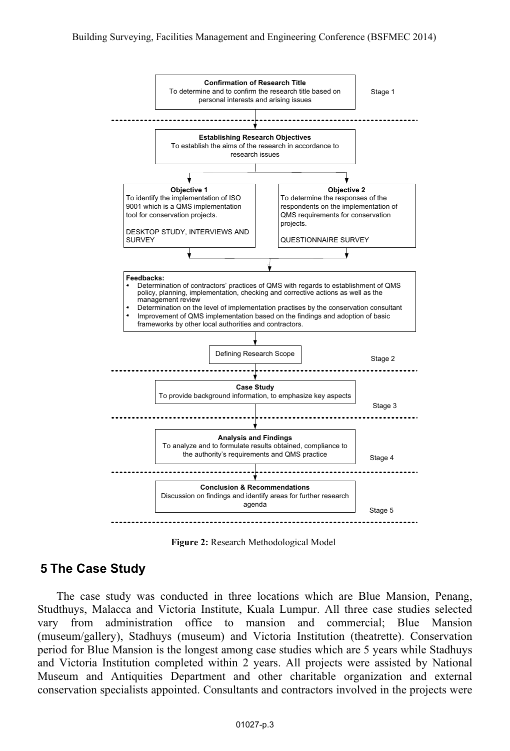

**Figure 2:** Research Methodological Model

### **5 The Case Study**

The case study was conducted in three locations which are Blue Mansion, Penang, Studthuys, Malacca and Victoria Institute, Kuala Lumpur. All three case studies selected vary from administration office to mansion and commercial; Blue Mansion (museum/gallery), Stadhuys (museum) and Victoria Institution (theatrette). Conservation period for Blue Mansion is the longest among case studies which are 5 years while Stadhuys and Victoria Institution completed within 2 years. All projects were assisted by National Museum and Antiquities Department and other charitable organization and external conservation specialists appointed. Consultants and contractors involved in the projects were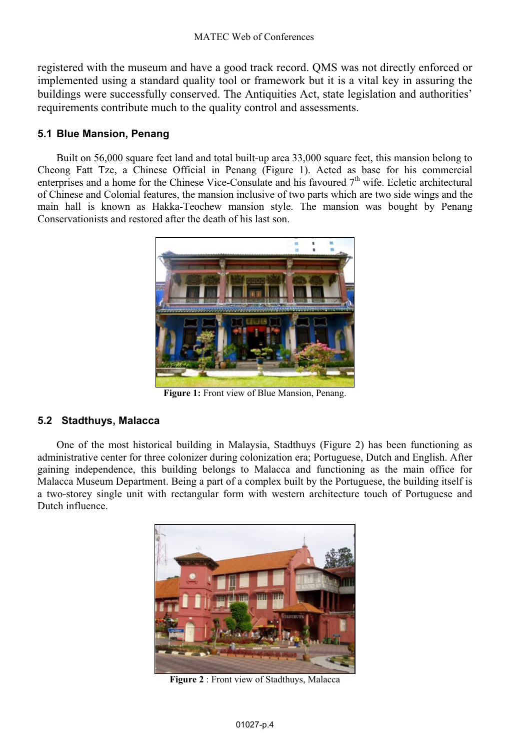registered with the museum and have a good track record. QMS was not directly enforced or implemented using a standard quality tool or framework but it is a vital key in assuring the buildings were successfully conserved. The Antiquities Act, state legislation and authorities' requirements contribute much to the quality control and assessments.

### **5.1 Blue Mansion, Penang**

Built on 56,000 square feet land and total built-up area 33,000 square feet, this mansion belong to Cheong Fatt Tze, a Chinese Official in Penang (Figure 1). Acted as base for his commercial enterprises and a home for the Chinese Vice-Consulate and his favoured  $7<sup>th</sup>$  wife. Ecletic architectural of Chinese and Colonial features, the mansion inclusive of two parts which are two side wings and the main hall is known as Hakka-Teochew mansion style. The mansion was bought by Penang Conservationists and restored after the death of his last son.



**Figure 1:** Front view of Blue Mansion, Penang.

### **5.2 Stadthuys, Malacca**

One of the most historical building in Malaysia, Stadthuys (Figure 2) has been functioning as administrative center for three colonizer during colonization era; Portuguese, Dutch and English. After gaining independence, this building belongs to Malacca and functioning as the main office for Malacca Museum Department. Being a part of a complex built by the Portuguese, the building itself is a two-storey single unit with rectangular form with western architecture touch of Portuguese and Dutch influence.



**Figure 2** : Front view of Stadthuys, Malacca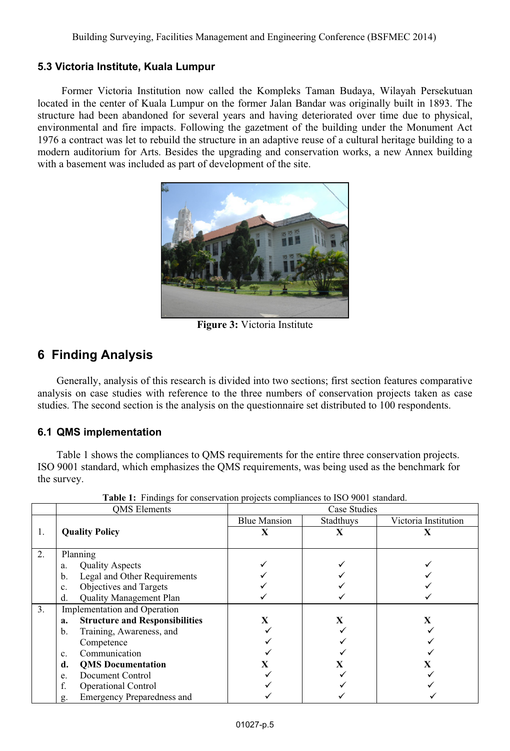#### **5.3 Victoria Institute, Kuala Lumpur**

Former Victoria Institution now called the Kompleks Taman Budaya, Wilayah Persekutuan located in the center of Kuala Lumpur on the former Jalan Bandar was originally built in 1893. The structure had been abandoned for several years and having deteriorated over time due to physical, environmental and fire impacts. Following the gazetment of the building under the Monument Act 1976 a contract was let to rebuild the structure in an adaptive reuse of a cultural heritage building to a modern auditorium for Arts. Besides the upgrading and conservation works, a new Annex building with a basement was included as part of development of the site.



**Figure 3:** Victoria Institute

# **6 Finding Analysis**

Generally, analysis of this research is divided into two sections; first section features comparative analysis on case studies with reference to the three numbers of conservation projects taken as case studies. The second section is the analysis on the questionnaire set distributed to 100 respondents.

#### **6.1 QMS implementation**

Table 1 shows the compliances to QMS requirements for the entire three conservation projects. ISO 9001 standard, which emphasizes the QMS requirements, was being used as the benchmark for the survey.

|    | <b>OMS</b> Elements                         | Case Studies        |           |                      |
|----|---------------------------------------------|---------------------|-----------|----------------------|
|    |                                             | <b>Blue Mansion</b> | Stadthuys | Victoria Institution |
| 1. | <b>Quality Policy</b>                       | X                   | X         | X                    |
| 2. | Planning                                    |                     |           |                      |
|    | <b>Quality Aspects</b><br>a.                |                     |           |                      |
|    | Legal and Other Requirements<br>b.          |                     |           |                      |
|    | Objectives and Targets<br>c.                |                     |           |                      |
|    | Quality Management Plan<br>d.               |                     |           |                      |
| 3. | Implementation and Operation                |                     |           |                      |
|    | <b>Structure and Responsibilities</b><br>a. |                     |           | X                    |
|    | Training, Awareness, and<br>b.              |                     |           |                      |
|    | Competence                                  |                     |           |                      |
|    | Communication<br>c.                         |                     |           |                      |
|    | d.<br><b>QMS</b> Documentation              |                     |           |                      |
|    | Document Control<br>e.                      |                     |           |                      |
|    | f.<br><b>Operational Control</b>            |                     |           |                      |
|    | Emergency Preparedness and<br>g.            |                     |           |                      |

|  |  | Table 1: Findings for conservation projects compliances to ISO 9001 standard. |  |  |  |  |  |
|--|--|-------------------------------------------------------------------------------|--|--|--|--|--|
|--|--|-------------------------------------------------------------------------------|--|--|--|--|--|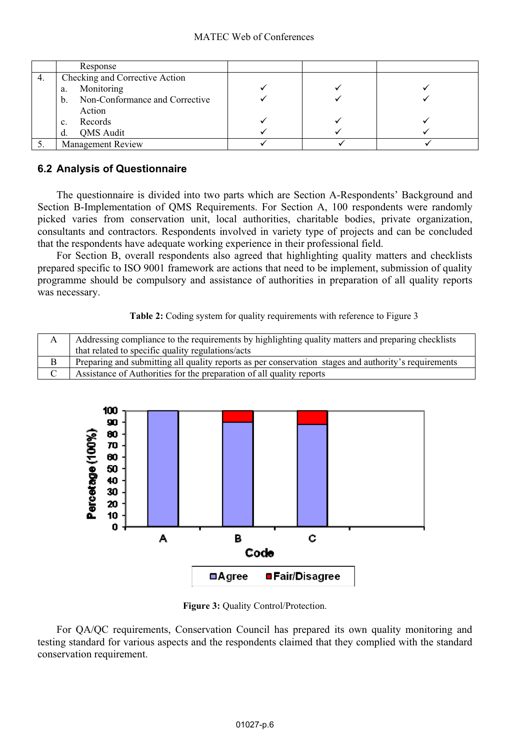|    | Response                             |  |  |
|----|--------------------------------------|--|--|
| 4. | Checking and Corrective Action       |  |  |
|    | Monitoring<br>a.                     |  |  |
|    | Non-Conformance and Corrective<br>b. |  |  |
|    | Action                               |  |  |
|    | Records<br>c.                        |  |  |
|    | <b>OMS</b> Audit<br>d.               |  |  |
|    | Management Review                    |  |  |

#### **6.2 Analysis of Questionnaire**

The questionnaire is divided into two parts which are Section A-Respondents' Background and Section B-Implementation of QMS Requirements. For Section A, 100 respondents were randomly picked varies from conservation unit, local authorities, charitable bodies, private organization, consultants and contractors. Respondents involved in variety type of projects and can be concluded that the respondents have adequate working experience in their professional field.

For Section B, overall respondents also agreed that highlighting quality matters and checklists prepared specific to ISO 9001 framework are actions that need to be implement, submission of quality programme should be compulsory and assistance of authorities in preparation of all quality reports was necessary.

#### **Table 2:** Coding system for quality requirements with reference to Figure 3

|   | Addressing compliance to the requirements by highlighting quality matters and preparing checklists   |
|---|------------------------------------------------------------------------------------------------------|
|   | that related to specific quality regulations/acts                                                    |
| B | Preparing and submitting all quality reports as per conservation stages and authority's requirements |
|   | Assistance of Authorities for the preparation of all quality reports                                 |



**Figure 3:** Quality Control/Protection.

For QA/QC requirements, Conservation Council has prepared its own quality monitoring and testing standard for various aspects and the respondents claimed that they complied with the standard conservation requirement.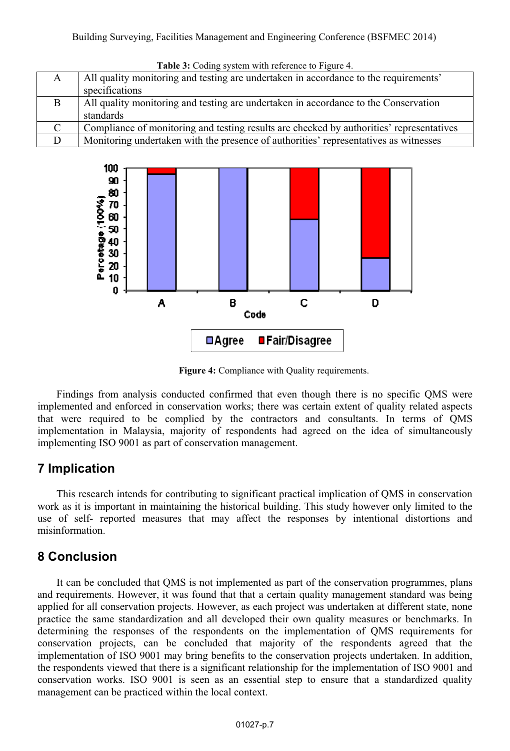| $\mathbf{A}$ | All quality monitoring and testing are undertaken in accordance to the requirements'     |
|--------------|------------------------------------------------------------------------------------------|
|              | specifications                                                                           |
| <sup>B</sup> | All quality monitoring and testing are undertaken in accordance to the Conservation      |
|              | standards                                                                                |
|              | Compliance of monitoring and testing results are checked by authorities' representatives |
|              | Monitoring undertaken with the presence of authorities' representatives as witnesses     |

Table 3: Coding system with reference to Figure 4.



**Figure 4:** Compliance with Quality requirements.

Findings from analysis conducted confirmed that even though there is no specific QMS were implemented and enforced in conservation works; there was certain extent of quality related aspects that were required to be complied by the contractors and consultants. In terms of QMS implementation in Malaysia, majority of respondents had agreed on the idea of simultaneously implementing ISO 9001 as part of conservation management.

# **7 Implication**

This research intends for contributing to significant practical implication of QMS in conservation work as it is important in maintaining the historical building. This study however only limited to the use of self- reported measures that may affect the responses by intentional distortions and misinformation.

# **8 Conclusion**

It can be concluded that QMS is not implemented as part of the conservation programmes, plans and requirements. However, it was found that that a certain quality management standard was being applied for all conservation projects. However, as each project was undertaken at different state, none practice the same standardization and all developed their own quality measures or benchmarks. In determining the responses of the respondents on the implementation of QMS requirements for conservation projects, can be concluded that majority of the respondents agreed that the implementation of ISO 9001 may bring benefits to the conservation projects undertaken. In addition, the respondents viewed that there is a significant relationship for the implementation of ISO 9001 and conservation works. ISO 9001 is seen as an essential step to ensure that a standardized quality management can be practiced within the local context.